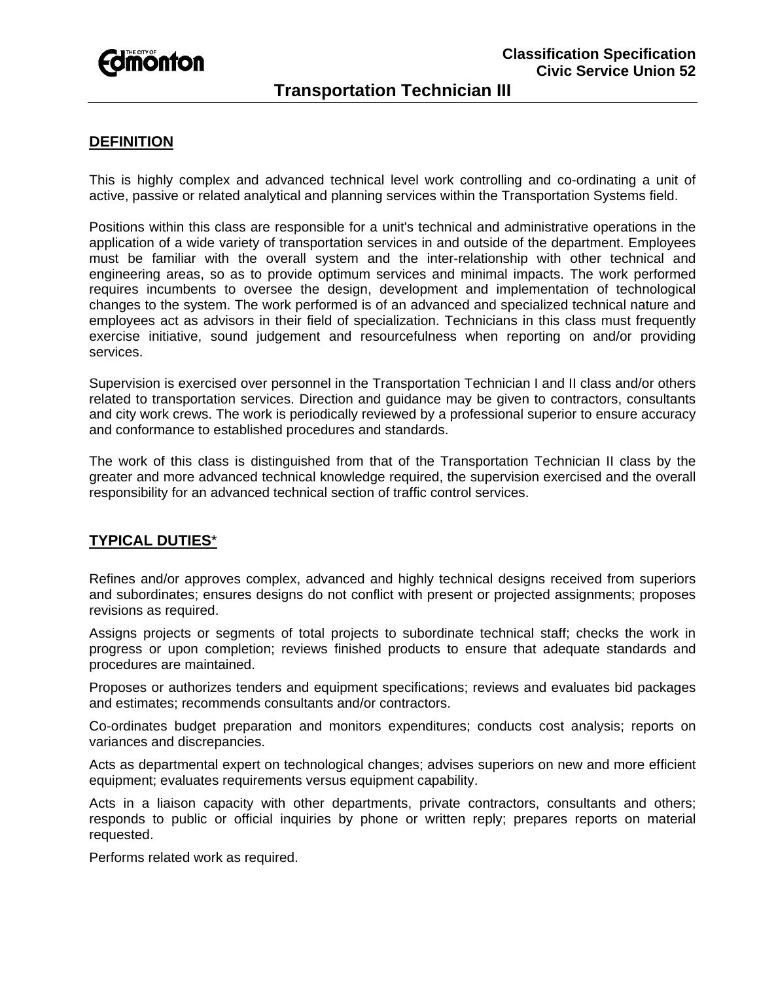

# **Transportation Technician III**

## **DEFINITION**

This is highly complex and advanced technical level work controlling and co-ordinating a unit of active, passive or related analytical and planning services within the Transportation Systems field.

Positions within this class are responsible for a unit's technical and administrative operations in the application of a wide variety of transportation services in and outside of the department. Employees must be familiar with the overall system and the inter-relationship with other technical and engineering areas, so as to provide optimum services and minimal impacts. The work performed requires incumbents to oversee the design, development and implementation of technological changes to the system. The work performed is of an advanced and specialized technical nature and employees act as advisors in their field of specialization. Technicians in this class must frequently exercise initiative, sound judgement and resourcefulness when reporting on and/or providing services.

Supervision is exercised over personnel in the Transportation Technician I and II class and/or others related to transportation services. Direction and guidance may be given to contractors, consultants and city work crews. The work is periodically reviewed by a professional superior to ensure accuracy and conformance to established procedures and standards.

The work of this class is distinguished from that of the Transportation Technician II class by the greater and more advanced technical knowledge required, the supervision exercised and the overall responsibility for an advanced technical section of traffic control services.

### **TYPICAL DUTIES**\*

Refines and/or approves complex, advanced and highly technical designs received from superiors and subordinates; ensures designs do not conflict with present or projected assignments; proposes revisions as required.

Assigns projects or segments of total projects to subordinate technical staff; checks the work in progress or upon completion; reviews finished products to ensure that adequate standards and procedures are maintained.

Proposes or authorizes tenders and equipment specifications; reviews and evaluates bid packages and estimates; recommends consultants and/or contractors.

Co-ordinates budget preparation and monitors expenditures; conducts cost analysis; reports on variances and discrepancies.

Acts as departmental expert on technological changes; advises superiors on new and more efficient equipment; evaluates requirements versus equipment capability.

Acts in a liaison capacity with other departments, private contractors, consultants and others; responds to public or official inquiries by phone or written reply; prepares reports on material requested.

Performs related work as required.